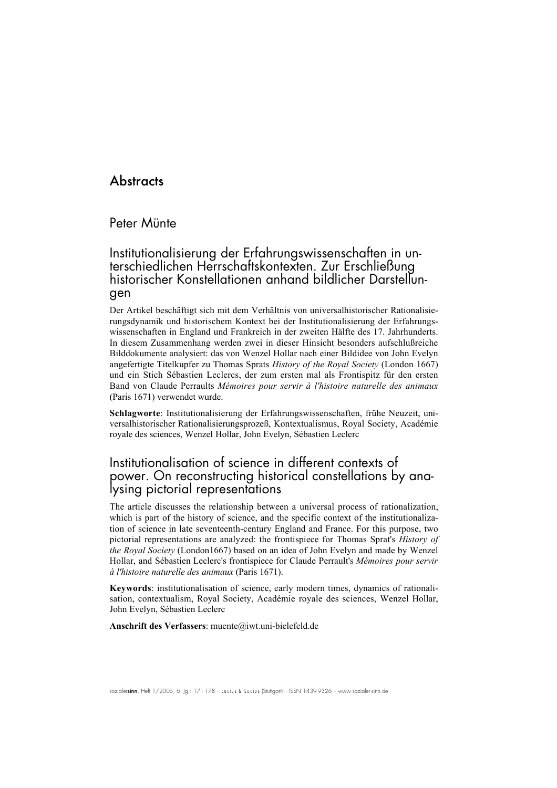# **Abstracts**

#### Peter Münte

# Institutionalisierung der Erfahrungswissenschaften in unterschiedlichen Herrschaftskontexten. Zur Erschließung historischer Konstellationen anhand bildlicher Darstellungen

Der Artikel beschäftigt sich mit dem Verhältnis von universalhistorischer Rationalisierungsdynamik und historischem Kontext bei der Institutionalisierung der Erfahrungswissenschaften in England und Frankreich in der zweiten Hälfte des 17. Jahrhunderts. In diesem Zusammenhang werden zwei in dieser Hinsicht besonders aufschlußreiche Bilddokumente analysiert: das von Wenzel Hollar nach einer Bildidee von John Evelyn angefertigte Titelkupfer zu Thomas Sprats *History of the Royal Society* (London 1667) und ein Stich Sébastien Leclercs, der zum ersten mal als Frontispitz für den ersten Band von Claude Perraults *Mémoires pour servir à l'histoire naturelle des animaux* (Paris 1671) verwendet wurde.

Schlagworte: Institutionalisierung der Erfahrungswissenschaften, frühe Neuzeit, universalhistorischer Rationalisierungsprozeß, Kontextualismus, Royal Society, Académie royale des sciences, Wenzel Hollar, John Evelyn, Sébastien Leclerc

# Institutionalisation of science in different contexts of power. On reconstructing historical constellations by analysing pictorial representations

The article discusses the relationship between a universal process of rationalization, which is part of the history of science, and the specific context of the institutionalization of science in late seventeenth-century England and France. For this purpose, two pictorial representations are analyzed: the frontispiece for Thomas Sprat's *History of the Royal Society* (London1667) based on an idea of John Evelyn and made by Wenzel Hollar, and Sébastien Leclerc's frontispiece for Claude Perrault's *Mémoires pour servir à l'histoire naturelle des animaux* (Paris 1671).

Keywords: institutionalisation of science, early modern times, dynamics of rationalisation, contextualism, Royal Society, Académie royale des sciences, Wenzel Hollar, John Evelyn, Sébastien Leclerc

Anschrift des Verfassers: muente@iwt.uni-bielefeld.de

sozialersinn, Heft 1/2005, 6. Jg.: 171-178 - Lucius & Lucius (Stuttgart) – ISSN 1439-9326 - www.sozialer-sinn.de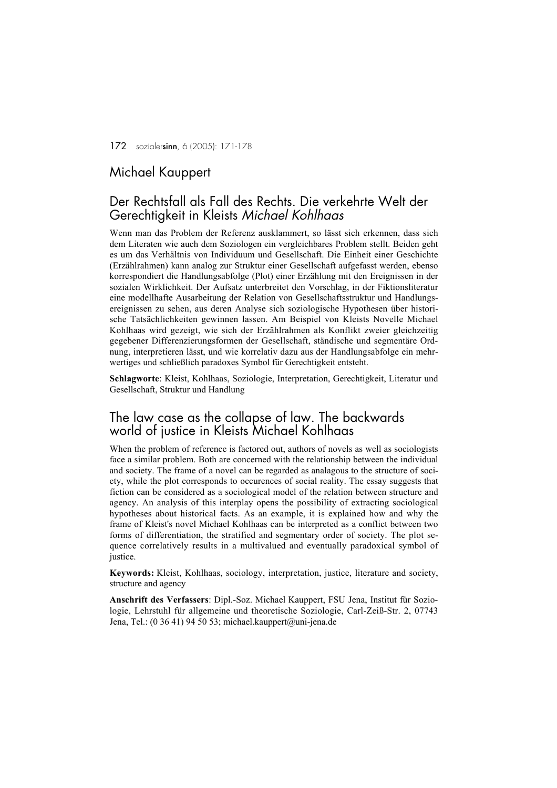172 sozialersinn, 6 (2005): 171-178

#### Michael Kauppert

#### Der Rechtsfall als Fall des Rechts. Die verkehrte Welt der Gerechtigkeit in Kleists *Michael Kohlhaas*

Wenn man das Problem der Referenz ausklammert, so lässt sich erkennen, dass sich dem Literaten wie auch dem Soziologen ein vergleichbares Problem stellt. Beiden geht es um das Verhältnis von Individuum und Gesellschaft. Die Einheit einer Geschichte (Erzählrahmen) kann analog zur Struktur einer Gesellschaft aufgefasst werden, ebenso korrespondiert die Handlungsabfolge (Plot) einer Erzählung mit den Ereignissen in der sozialen Wirklichkeit. Der Aufsatz unterbreitet den Vorschlag, in der Fiktionsliteratur eine modellhafte Ausarbeitung der Relation von Gesellschaftsstruktur und Handlungsereignissen zu sehen, aus deren Analyse sich soziologische Hypothesen über historische Tatsächlichkeiten gewinnen lassen. Am Beispiel von Kleists Novelle Michael Kohlhaas wird gezeigt, wie sich der Erzählrahmen als Konflikt zweier gleichzeitig gegebener Differenzierungsformen der Gesellschaft, ständische und segmentäre Ordnung, interpretieren lässt, und wie korrelativ dazu aus der Handlungsabfolge ein mehrwertiges und schließlich paradoxes Symbol für Gerechtigkeit entsteht.

Schlagworte: Kleist, Kohlhaas, Soziologie, Interpretation, Gerechtigkeit, Literatur und Gesellschaft, Struktur und Handlung

#### The law case as the collapse of law. The backwards world of justice in Kleists Michael Kohlhaas

When the problem of reference is factored out, authors of novels as well as sociologists face a similar problem. Both are concerned with the relationship between the individual and society. The frame of a novel can be regarded as analagous to the structure of society, while the plot corresponds to occurences of social reality. The essay suggests that fiction can be considered as a sociological model of the relation between structure and agency. An analysis of this interplay opens the possibility of extracting sociological hypotheses about historical facts. As an example, it is explained how and why the frame of Kleist's novel Michael Kohlhaas can be interpreted as a conflict between two forms of differentiation, the stratified and segmentary order of society. The plot sequence correlatively results in a multivalued and eventually paradoxical symbol of justice.

Keywords: Kleist, Kohlhaas, sociology, interpretation, justice, literature and society, structure and agency

Anschrift des Verfassers: Dipl.-Soz. Michael Kauppert, FSU Jena, Institut für Soziologie, Lehrstuhl für allgemeine und theoretische Soziologie, Carl-Zeiß-Str. 2, 07743 Jena, Tel.: (0 36 41) 94 50 53; michael.kauppert@uni-jena.de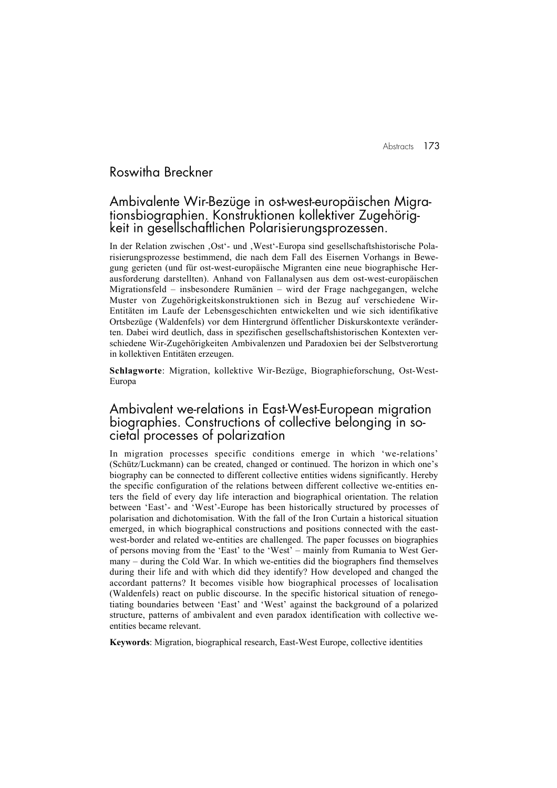# Roswitha Breckner

#### Ambivalente Wir-Bezüge in ost-west-europäischen Migrationsbiographien. Konstruktionen kollektiver Zugehörigkeit in gesellschaftlichen Polarisierungsprozessen.

In der Relation zwischen 'Ost'- und 'West'-Europa sind gesellschaftshistorische Polarisierungsprozesse bestimmend, die nach dem Fall des Eisernen Vorhangs in Bewegung gerieten (und für ost-west-europäische Migranten eine neue biographische Herausforderung darstellten). Anhand von Fallanalysen aus dem ost-west-europäischen Migrationsfeld – insbesondere Rumänien – wird der Frage nachgegangen, welche Muster von Zugehörigkeitskonstruktionen sich in Bezug auf verschiedene Wir-Entitäten im Laufe der Lebensgeschichten entwickelten und wie sich identifikative Ortsbezüge (Waldenfels) vor dem Hintergrund öffentlicher Diskurskontexte veränderten. Dabei wird deutlich, dass in spezifischen gesellschaftshistorischen Kontexten verschiedene Wir-Zugehörigkeiten Ambivalenzen und Paradoxien bei der Selbstverortung in kollektiven Entitäten erzeugen.

Schlagworte: Migration, kollektive Wir-Bezüge, Biographieforschung, Ost-West-Europa

#### Ambivalent we-relations in East-West-European migration biographies. Constructions of collective belonging in societal processes of polarization

In migration processes specific conditions emerge in which 'we-relations' (Schütz/Luckmann) can be created, changed or continued. The horizon in which one's biography can be connected to different collective entities widens significantly. Hereby the specific configuration of the relations between different collective we-entities enters the field of every day life interaction and biographical orientation. The relation between 'East'- and 'West'-Europe has been historically structured by processes of polarisation and dichotomisation. With the fall of the Iron Curtain a historical situation emerged, in which biographical constructions and positions connected with the eastwest-border and related we-entities are challenged. The paper focusses on biographies of persons moving from the 'East' to the 'West' – mainly from Rumania to West Germany – during the Cold War. In which we-entities did the biographers find themselves during their life and with which did they identify? How developed and changed the accordant patterns? It becomes visible how biographical processes of localisation (Waldenfels) react on public discourse. In the specific historical situation of renegotiating boundaries between 'East' and 'West' against the background of a polarized structure, patterns of ambivalent and even paradox identification with collective weentities became relevant.

Keywords: Migration, biographical research, East-West Europe, collective identities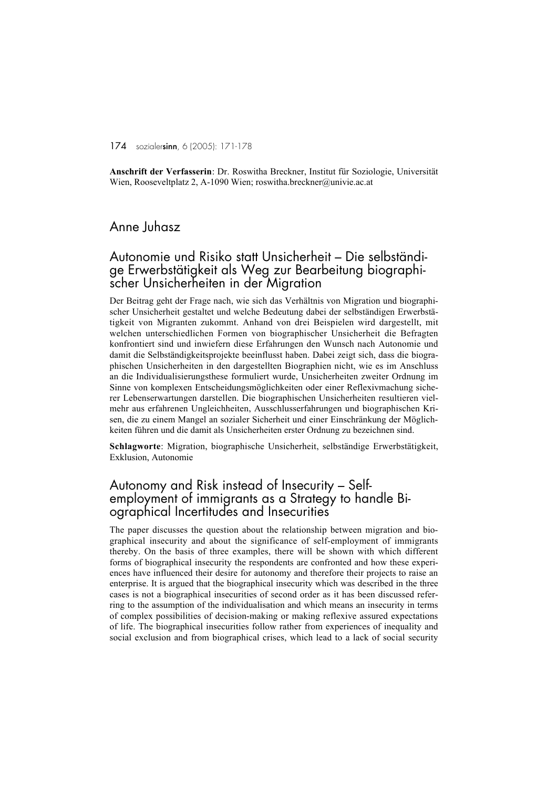174 sozialersinn, 6 (2005): 171-178

Anschrift der Verfasserin: Dr. Roswitha Breckner, Institut für Soziologie, Universität Wien, Rooseveltplatz 2, A-1090 Wien; roswitha.breckner@univie.ac.at

# Anne Juhasz

# Autonomie und Risiko statt Unsicherheit – Die selbständige Erwerbstätigkeit als Weg zur Bearbeitung biographi- scher Unsicherheiten in der Migration

Der Beitrag geht der Frage nach, wie sich das Verhältnis von Migration und biographischer Unsicherheit gestaltet und welche Bedeutung dabei der selbständigen Erwerbstätigkeit von Migranten zukommt. Anhand von drei Beispielen wird dargestellt, mit welchen unterschiedlichen Formen von biographischer Unsicherheit die Befragten konfrontiert sind und inwiefern diese Erfahrungen den Wunsch nach Autonomie und damit die Selbständigkeitsprojekte beeinflusst haben. Dabei zeigt sich, dass die biographischen Unsicherheiten in den dargestellten Biographien nicht, wie es im Anschluss an die Individualisierungsthese formuliert wurde, Unsicherheiten zweiter Ordnung im Sinne von komplexen Entscheidungsmöglichkeiten oder einer Reflexivmachung sicherer Lebenserwartungen darstellen. Die biographischen Unsicherheiten resultieren vielmehr aus erfahrenen Ungleichheiten, Ausschlusserfahrungen und biographischen Krisen, die zu einem Mangel an sozialer Sicherheit und einer Einschränkung der Möglichkeiten führen und die damit als Unsicherheiten erster Ordnung zu bezeichnen sind.

Schlagworte: Migration, biographische Unsicherheit, selbständige Erwerbstätigkeit, Exklusion, Autonomie

# Autonomy and Risk instead of Insecurity – Selfemployment of immigrants as a Strategy to handle Biographical Incertitudes and Insecurities

The paper discusses the question about the relationship between migration and biographical insecurity and about the significance of self-employment of immigrants thereby. On the basis of three examples, there will be shown with which different forms of biographical insecurity the respondents are confronted and how these experiences have influenced their desire for autonomy and therefore their projects to raise an enterprise. It is argued that the biographical insecurity which was described in the three cases is not a biographical insecurities of second order as it has been discussed referring to the assumption of the individualisation and which means an insecurity in terms of complex possibilities of decision-making or making reflexive assured expectations of life. The biographical insecurities follow rather from experiences of inequality and social exclusion and from biographical crises, which lead to a lack of social security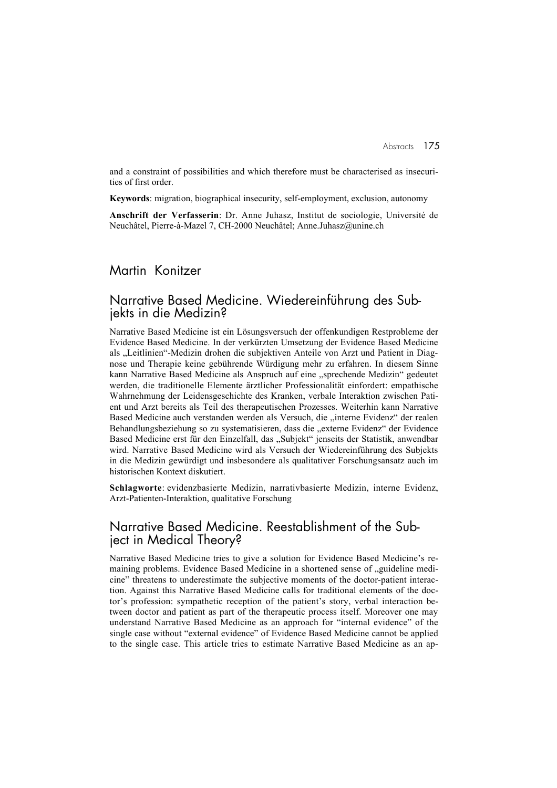and a constraint of possibilities and which therefore must be characterised as insecurities of first order.

Keywords: migration, biographical insecurity, self-employment, exclusion, autonomy

Anschrift der Verfasserin: Dr. Anne Juhasz, Institut de sociologie, Université de Neuchâtel, Pierre-à-Mazel 7, CH-2000 Neuchâtel; Anne.Juhasz@unine.ch

#### Martin Konitzer

#### Narrative Based Medicine. Wiedereinführung des Subjekts in die Medizin?

Narrative Based Medicine ist ein Lösungsversuch der offenkundigen Restprobleme der Evidence Based Medicine. In der verkürzten Umsetzung der Evidence Based Medicine als "Leitlinien"-Medizin drohen die subjektiven Anteile von Arzt und Patient in Diagnose und Therapie keine gebührende Würdigung mehr zu erfahren. In diesem Sinne kann Narrative Based Medicine als Anspruch auf eine "sprechende Medizin" gedeutet werden, die traditionelle Elemente ärztlicher Professionalität einfordert: empathische Wahrnehmung der Leidensgeschichte des Kranken, verbale Interaktion zwischen Patient und Arzt bereits als Teil des therapeutischen Prozesses. Weiterhin kann Narrative Based Medicine auch verstanden werden als Versuch, die "interne Evidenz" der realen Behandlungsbeziehung so zu systematisieren, dass die "externe Evidenz" der Evidence Based Medicine erst für den Einzelfall, das "Subjekt" jenseits der Statistik, anwendbar wird. Narrative Based Medicine wird als Versuch der Wiedereinführung des Subjekts in die Medizin gewürdigt und insbesondere als qualitativer Forschungsansatz auch im historischen Kontext diskutiert.

Schlagworte: evidenzbasierte Medizin, narrativbasierte Medizin, interne Evidenz, Arzt-Patienten-Interaktion, qualitative Forschung

#### Narrative Based Medicine. Reestablishment of the Subject in Medical Theory?

Narrative Based Medicine tries to give a solution for Evidence Based Medicine's remaining problems. Evidence Based Medicine in a shortened sense of ..guideline medicine" threatens to underestimate the subjective moments of the doctor-patient interaction. Against this Narrative Based Medicine calls for traditional elements of the doctor's profession: sympathetic reception of the patient's story, verbal interaction between doctor and patient as part of the therapeutic process itself. Moreover one may understand Narrative Based Medicine as an approach for "internal evidence" of the single case without "external evidence" of Evidence Based Medicine cannot be applied to the single case. This article tries to estimate Narrative Based Medicine as an ap-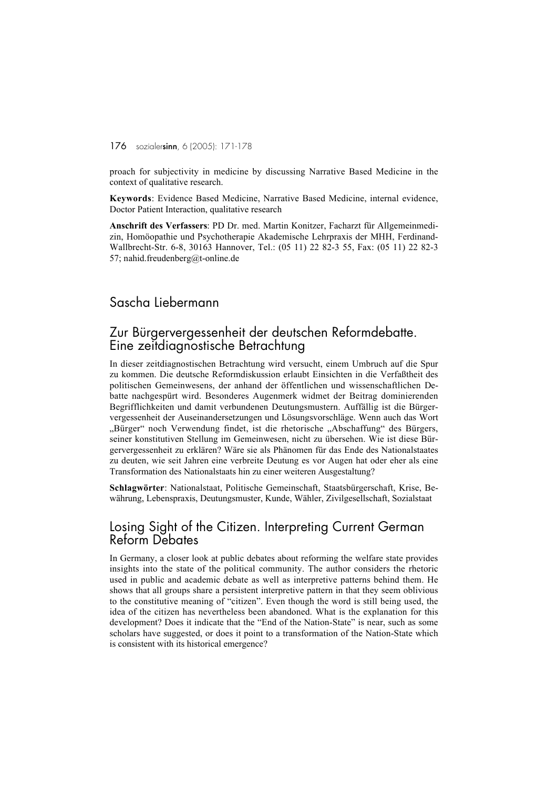#### 176 sozialersinn, 6 (2005): 171-178

proach for subjectivity in medicine by discussing Narrative Based Medicine in the context of qualitative research.

Keywords: Evidence Based Medicine, Narrative Based Medicine, internal evidence, Doctor Patient Interaction, qualitative research

Anschrift des Verfassers: PD Dr. med. Martin Konitzer, Facharzt für Allgemeinmedizin, Homöopathie und Psychotherapie Akademische Lehrpraxis der MHH, Ferdinand-Wallbrecht-Str. 6-8, 30163 Hannover, Tel.: (05 11) 22 82-3 55, Fax: (05 11) 22 82-3 57; nahid.freudenberg@t-online.de

# Sascha Liebermann

# Zur Bürgervergessenheit der deutschen Reformdebatte. Eine zeitdiagnostische Betrachtung

In dieser zeitdiagnostischen Betrachtung wird versucht, einem Umbruch auf die Spur zu kommen. Die deutsche Reformdiskussion erlaubt Einsichten in die Verfaßtheit des politischen Gemeinwesens, der anhand der öffentlichen und wissenschaftlichen Debatte nachgespürt wird. Besonderes Augenmerk widmet der Beitrag dominierenden Begrifflichkeiten und damit verbundenen Deutungsmustern. Auffällig ist die Bürgervergessenheit der Auseinandersetzungen und Lösungsvorschläge. Wenn auch das Wort "Bürger" noch Verwendung findet, ist die rhetorische "Abschaffung" des Bürgers, seiner konstitutiven Stellung im Gemeinwesen, nicht zu übersehen. Wie ist diese Bürgervergessenheit zu erklären? Wäre sie als Phänomen für das Ende des Nationalstaates zu deuten, wie seit Jahren eine verbreite Deutung es vor Augen hat oder eher als eine Transformation des Nationalstaats hin zu einer weiteren Ausgestaltung?

Schlagwörter: Nationalstaat, Politische Gemeinschaft, Staatsbürgerschaft, Krise, Bewährung, Lebenspraxis, Deutungsmuster, Kunde, Wähler, Zivilgesellschaft, Sozialstaat

# Losing Sight of the Citizen. Interpreting Current German Reform Debates

In Germany, a closer look at public debates about reforming the welfare state provides insights into the state of the political community. The author considers the rhetoric used in public and academic debate as well as interpretive patterns behind them. He shows that all groups share a persistent interpretive pattern in that they seem oblivious to the constitutive meaning of "citizen". Even though the word is still being used, the idea of the citizen has nevertheless been abandoned. What is the explanation for this development? Does it indicate that the "End of the Nation-State" is near, such as some scholars have suggested, or does it point to a transformation of the Nation-State which is consistent with its historical emergence?